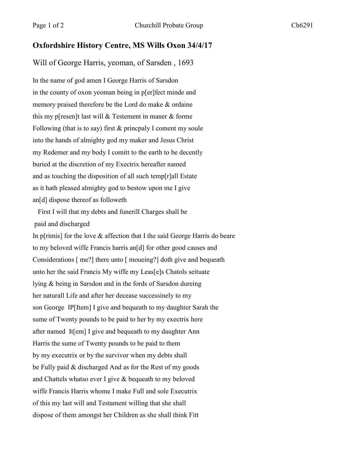## **Oxfordshire History Centre, MS Wills Oxon 34/4/17**

Will of George Harris, yeoman, of Sarsden , 1693

In the name of god amen I George Harris of Sarsdon in the county of oxon yeoman being in p[er]fect minde and memory praised therefore be the Lord do make & ordaine this my p[resen]t last will & Testement in maner & forme Following (that is to say) first & princpaly I coment my soule into the hands of almighty god my maker and Jesus Christ my Redemer and my body I comitt to the earth to be decently buried at the discretion of my Exectrix hereafter named and as touching the disposition of all such temp[r]all Estate as it hath pleased almighty god to bestow upon me I give an[d] dispose thereof as followeth

 First I will that my debts and funerill Charges shall be paid and discharged

In p[rimis] for the love  $\&$  affection that I the said George Harris do beare to my beloved wiffe Francis harris an[d] for other good causes and Considerations [ me?] there unto [ moueing?] doth give and bequeath unto her the said Francis My wiffe my Leas[e]s Chatols seituate lying & being in Sarsdon and in the fords of Sarsdon dureing her naturall Life and after her decease successinely to my son George IP[Item] I give and bequeath to my daughter Sarah the sume of Twenty pounds to be paid to her by my exectrix here after named It[em] I give and bequeath to my daughter Ann Harris the sume of Twenty pounds to be paid to them by my executrix or by the survivor when my debts shall be Fully paid & discharged And as for the Rest of my goods and Chattels whatso ever I give & bequeath to my beloved wiffe Francis Harris whome I make Full and sole Executrix of this my last will and Testament willing that she shall dispose of them amongst her Children as she shall think Fitt